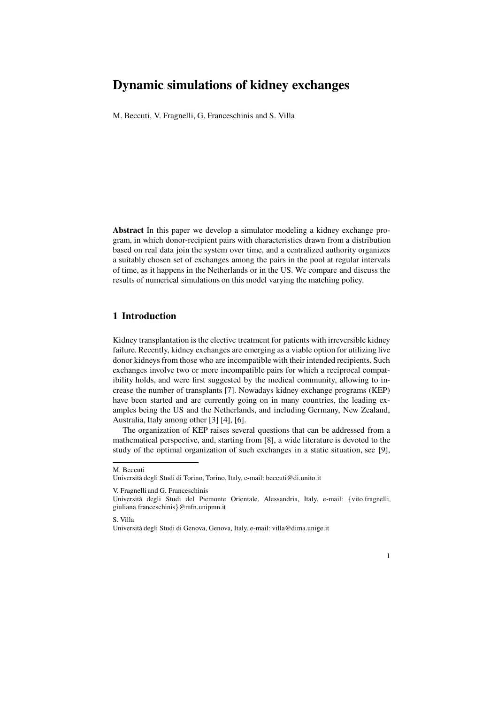# Dynamic simulations of kidney exchanges

M. Beccuti, V. Fragnelli, G. Franceschinis and S. Villa

Abstract In this paper we develop a simulator modeling a kidney exchange program, in which donor-recipient pairs with characteristics drawn from a distribution based on real data join the system over time, and a centralized authority organizes a suitably chosen set of exchanges among the pairs in the pool at regular intervals of time, as it happens in the Netherlands or in the US. We compare and discuss the results of numerical simulations on this model varying the matching policy.

### 1 Introduction

Kidney transplantation is the elective treatment for patients with irreversible kidney failure. Recently, kidney exchanges are emerging as a viable option for utilizing live donor kidneys from those who are incompatible with their intended recipients. Such exchanges involve two or more incompatible pairs for which a reciprocal compatibility holds, and were first suggested by the medical community, allowing to increase the number of transplants [7]. Nowadays kidney exchange programs (KEP) have been started and are currently going on in many countries, the leading examples being the US and the Netherlands, and including Germany, New Zealand, Australia, Italy among other [3] [4], [6].

The organization of KEP raises several questions that can be addressed from a mathematical perspective, and, starting from [8], a wide literature is devoted to the study of the optimal organization of such exchanges in a static situation, see [9],

#### S. Villa

M. Beccuti

Universit`a degli Studi di Torino, Torino, Italy, e-mail: beccuti@di.unito.it

V. Fragnelli and G. Franceschinis

Universit`a degli Studi del Piemonte Orientale, Alessandria, Italy, e-mail: {vito.fragnelli, giuliana.franceschinis}@mfn.unipmn.it

Universit`a degli Studi di Genova, Genova, Italy, e-mail: villa@dima.unige.it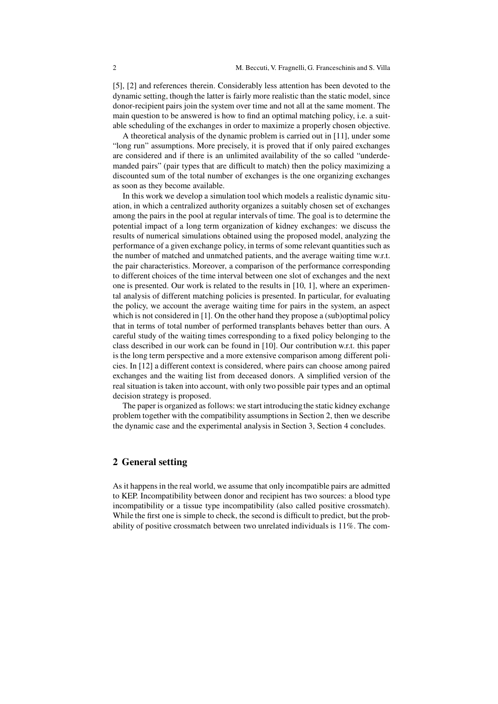[5], [2] and references therein. Considerably less attention has been devoted to the dynamic setting, though the latter is fairly more realistic than the static model, since donor-recipient pairs join the system over time and not all at the same moment. The main question to be answered is how to find an optimal matching policy, i.e. a suitable scheduling of the exchanges in order to maximize a properly chosen objective.

A theoretical analysis of the dynamic problem is carried out in [11], under some "long run" assumptions. More precisely, it is proved that if only paired exchanges are considered and if there is an unlimited availability of the so called "underdemanded pairs" (pair types that are difficult to match) then the policy maximizing a discounted sum of the total number of exchanges is the one organizing exchanges as soon as they become available.

In this work we develop a simulation tool which models a realistic dynamic situation, in which a centralized authority organizes a suitably chosen set of exchanges among the pairs in the pool at regular intervals of time. The goal is to determine the potential impact of a long term organization of kidney exchanges: we discuss the results of numerical simulations obtained using the proposed model, analyzing the performance of a given exchange policy, in terms of some relevant quantities such as the number of matched and unmatched patients, and the average waiting time w.r.t. the pair characteristics. Moreover, a comparison of the performance corresponding to different choices of the time interval between one slot of exchanges and the next one is presented. Our work is related to the results in [10, 1], where an experimental analysis of different matching policies is presented. In particular, for evaluating the policy, we account the average waiting time for pairs in the system, an aspect which is not considered in [1]. On the other hand they propose a (sub)optimal policy that in terms of total number of performed transplants behaves better than ours. A careful study of the waiting times corresponding to a fixed policy belonging to the class described in our work can be found in [10]. Our contribution w.r.t. this paper is the long term perspective and a more extensive comparison among different policies. In [12] a different context is considered, where pairs can choose among paired exchanges and the waiting list from deceased donors. A simplified version of the real situation is taken into account, with only two possible pair types and an optimal decision strategy is proposed.

The paper is organized as follows: we start introducing the static kidney exchange problem together with the compatibility assumptions in Section 2, then we describe the dynamic case and the experimental analysis in Section 3, Section 4 concludes.

### 2 General setting

As it happens in the real world, we assume that only incompatible pairs are admitted to KEP. Incompatibility between donor and recipient has two sources: a blood type incompatibility or a tissue type incompatibility (also called positive crossmatch). While the first one is simple to check, the second is difficult to predict, but the probability of positive crossmatch between two unrelated individuals is 11%. The com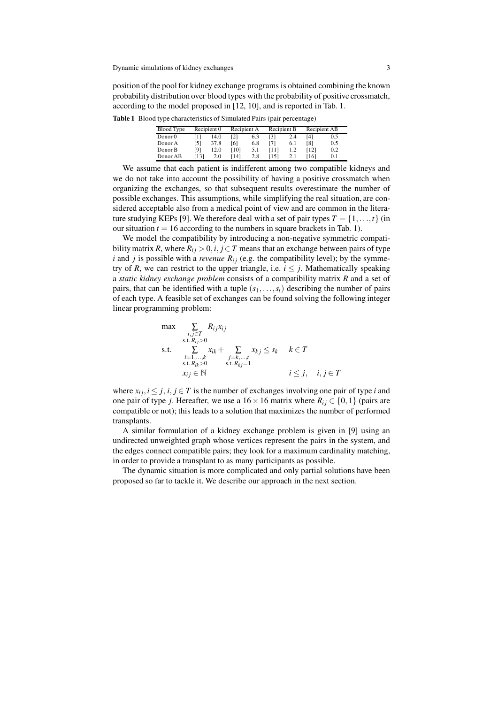position of the pool for kidney exchange programs is obtained combining the known probability distribution over blood types with the probability of positive crossmatch, according to the model proposed in [12, 10], and is reported in Tab. 1.

| Blood Type |      | Recipient 0 | Recipient A |     | Recipient B |     | Recipient AB |     |  |  |
|------------|------|-------------|-------------|-----|-------------|-----|--------------|-----|--|--|
| Donor 0    | [1]  | 14.0        | [2]         | 6.3 | [3]         | 2.4 | [4]          | 0.5 |  |  |
| Donor A    | [5]  | 37.8        | [6]         | 6.8 | [7]         | 6.1 | [8]          | 0.5 |  |  |
| Donor B    | [9]  | 12.0        | [10]        | 5.1 | [11]        | 1.2 | [12]         | 0.2 |  |  |
| Donor AB   | [13] | 2.0         | [14]        | 2.8 | [15]        | 2.1 | [16]         | 0.1 |  |  |

Table 1 Blood type characteristics of Simulated Pairs (pair percentage)

We assume that each patient is indifferent among two compatible kidneys and we do not take into account the possibility of having a positive crossmatch when organizing the exchanges, so that subsequent results overestimate the number of possible exchanges. This assumptions, while simplifying the real situation, are considered acceptable also from a medical point of view and are common in the literature studying KEPs [9]. We therefore deal with a set of pair types  $T = \{1, ..., t\}$  (in our situation  $t = 16$  according to the numbers in square brackets in Tab. 1).

We model the compatibility by introducing a non-negative symmetric compatibility matrix R, where  $R_{ij} > 0, i, j \in T$  means that an exchange between pairs of type i and j is possible with a revenue  $R_{ij}$  (e.g. the compatibility level); by the symmetry of R, we can restrict to the upper triangle, i.e.  $i \leq j$ . Mathematically speaking a static kidney exchange problem consists of a compatibility matrix  $R$  and a set of pairs, that can be identified with a tuple  $(s_1,...,s_t)$  describing the number of pairs of each type. A feasible set of exchanges can be found solving the following integer linear programming problem:

$$
\max \sum_{\substack{i,j \in T \\ \text{s.t. } R_{ij} > 0}} R_{ij} x_{ij}
$$
\n
$$
\text{s.t. } \sum_{\substack{i=1,\dots,k \\ \text{s.t. } R_{ik} > 0}} x_{ik} + \sum_{\substack{j=k,\dots,t \\ \text{s.t. } R_{kj} = 1}} x_{kj} \le s_k \quad k \in T
$$
\n
$$
x_{ij} \in \mathbb{N} \qquad i \le j, \quad i, j \in T
$$

where  $x_{i j}$ ,  $i \leq j$ ,  $i, j \in T$  is the number of exchanges involving one pair of type i and one pair of type j. Hereafter, we use a  $16 \times 16$  matrix where  $R_{ij} \in \{0, 1\}$  (pairs are compatible or not); this leads to a solution that maximizes the number of performed transplants.

A similar formulation of a kidney exchange problem is given in [9] using an undirected unweighted graph whose vertices represent the pairs in the system, and the edges connect compatible pairs; they look for a maximum cardinality matching, in order to provide a transplant to as many participants as possible.

The dynamic situation is more complicated and only partial solutions have been proposed so far to tackle it. We describe our approach in the next section.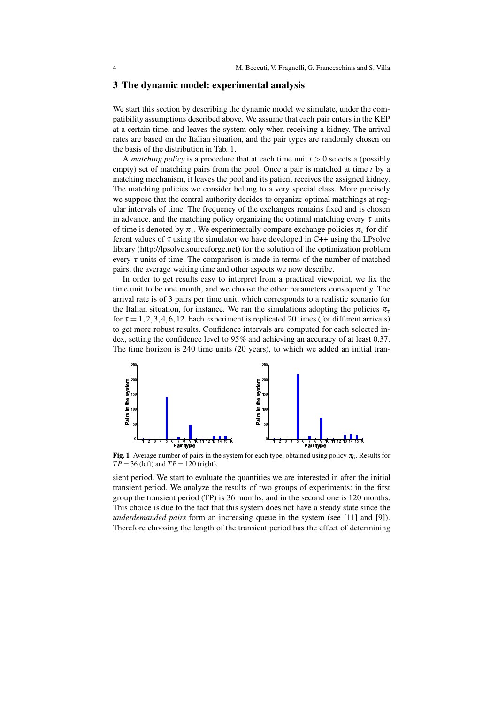## 3 The dynamic model: experimental analysis

We start this section by describing the dynamic model we simulate, under the compatibility assumptions described above. We assume that each pair enters in the KEP at a certain time, and leaves the system only when receiving a kidney. The arrival rates are based on the Italian situation, and the pair types are randomly chosen on the basis of the distribution in Tab. 1.

A *matching policy* is a procedure that at each time unit  $t > 0$  selects a (possibly empty) set of matching pairs from the pool. Once a pair is matched at time  $t$  by a matching mechanism, it leaves the pool and its patient receives the assigned kidney. The matching policies we consider belong to a very special class. More precisely we suppose that the central authority decides to organize optimal matchings at regular intervals of time. The frequency of the exchanges remains fixed and is chosen in advance, and the matching policy organizing the optimal matching every  $\tau$  units of time is denoted by  $\pi_{\tau}$ . We experimentally compare exchange policies  $\pi_{\tau}$  for different values of  $\tau$  using the simulator we have developed in C++ using the LPsolve library (http://lpsolve.sourceforge.net) for the solution of the optimization problem every  $\tau$  units of time. The comparison is made in terms of the number of matched pairs, the average waiting time and other aspects we now describe.

In order to get results easy to interpret from a practical viewpoint, we fix the time unit to be one month, and we choose the other parameters consequently. The arrival rate is of 3 pairs per time unit, which corresponds to a realistic scenario for the Italian situation, for instance. We ran the simulations adopting the policies  $\pi_{\tau}$ for  $\tau = 1, 2, 3, 4, 6, 12$ . Each experiment is replicated 20 times (for different arrivals) to get more robust results. Confidence intervals are computed for each selected index, setting the confidence level to 95% and achieving an accuracy of at least 0.37. The time horizon is 240 time units (20 years), to which we added an initial tran-



Fig. 1 Average number of pairs in the system for each type, obtained using policy  $\pi_6$ . Results for  $TP = 36$  (left) and  $TP = 120$  (right).

sient period. We start to evaluate the quantities we are interested in after the initial transient period. We analyze the results of two groups of experiments: in the first group the transient period (TP) is 36 months, and in the second one is 120 months. This choice is due to the fact that this system does not have a steady state since the underdemanded pairs form an increasing queue in the system (see [11] and [9]). Therefore choosing the length of the transient period has the effect of determining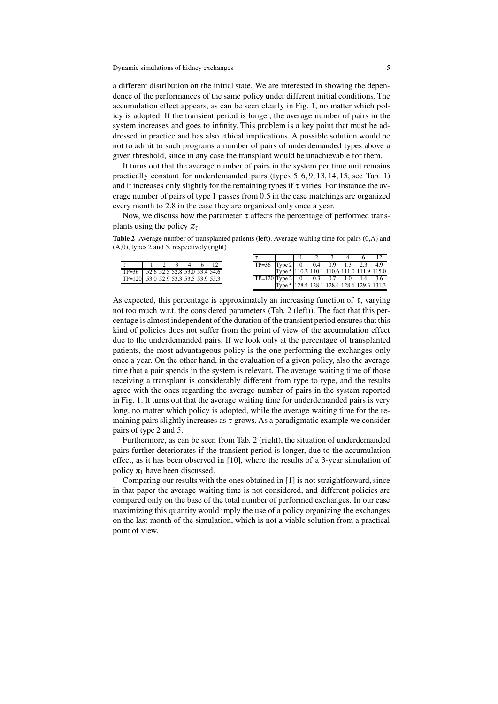#### Dynamic simulations of kidney exchanges 5

a different distribution on the initial state. We are interested in showing the dependence of the performances of the same policy under different initial conditions. The accumulation effect appears, as can be seen clearly in Fig. 1, no matter which policy is adopted. If the transient period is longer, the average number of pairs in the system increases and goes to infinity. This problem is a key point that must be addressed in practice and has also ethical implications. A possible solution would be not to admit to such programs a number of pairs of underdemanded types above a given threshold, since in any case the transplant would be unachievable for them.

It turns out that the average number of pairs in the system per time unit remains practically constant for underdemanded pairs (types 5, 6, 9, 13, 14,15, see Tab. 1) and it increases only slightly for the remaining types if  $\tau$  varies. For instance the average number of pairs of type 1 passes from 0.5 in the case matchings are organized every month to 2.8 in the case they are organized only once a year.

Now, we discuss how the parameter  $\tau$  affects the percentage of performed transplants using the policy  $\pi_{\tau}$ .

Table 2 Average number of transplanted patients (left). Average waiting time for pairs (0,A) and (A,0), types 2 and 5, respectively (right)

|                                      |  |  | 2 3 4 6 12 | TP=36 Type 2 0 0.4 0.9 1.3 2.3 4.9<br>Type 5 110.2 110.1 110.6 111.0 111.9 115.0 |                                            |  |  |  |
|--------------------------------------|--|--|------------|----------------------------------------------------------------------------------|--------------------------------------------|--|--|--|
| TP=36 52.6 52.5 52.8 53.0 53.4 54.6  |  |  |            |                                                                                  |                                            |  |  |  |
| TP=120 53.0 52.9 53.3 53.5 53.9 55.3 |  |  |            | TP=120 Type 2 0 0.3 0.7 1.0 1.6 3.6                                              |                                            |  |  |  |
|                                      |  |  |            |                                                                                  | Type 5 128.5 128.1 128.4 128.6 129.3 131.3 |  |  |  |

As expected, this percentage is approximately an increasing function of  $\tau$ , varying not too much w.r.t. the considered parameters (Tab. 2 (left)). The fact that this percentage is almost independent of the duration of the transient period ensures that this kind of policies does not suffer from the point of view of the accumulation effect due to the underdemanded pairs. If we look only at the percentage of transplanted patients, the most advantageous policy is the one performing the exchanges only once a year. On the other hand, in the evaluation of a given policy, also the average time that a pair spends in the system is relevant. The average waiting time of those receiving a transplant is considerably different from type to type, and the results agree with the ones regarding the average number of pairs in the system reported in Fig. 1. It turns out that the average waiting time for underdemanded pairs is very long, no matter which policy is adopted, while the average waiting time for the remaining pairs slightly increases as  $\tau$  grows. As a paradigmatic example we consider pairs of type 2 and 5.

Furthermore, as can be seen from Tab. 2 (right), the situation of underdemanded pairs further deteriorates if the transient period is longer, due to the accumulation effect, as it has been observed in [10], where the results of a 3-year simulation of policy  $\pi_1$  have been discussed.

Comparing our results with the ones obtained in [1] is not straightforward, since in that paper the average waiting time is not considered, and different policies are compared only on the base of the total number of performed exchanges. In our case maximizing this quantity would imply the use of a policy organizing the exchanges on the last month of the simulation, which is not a viable solution from a practical point of view.